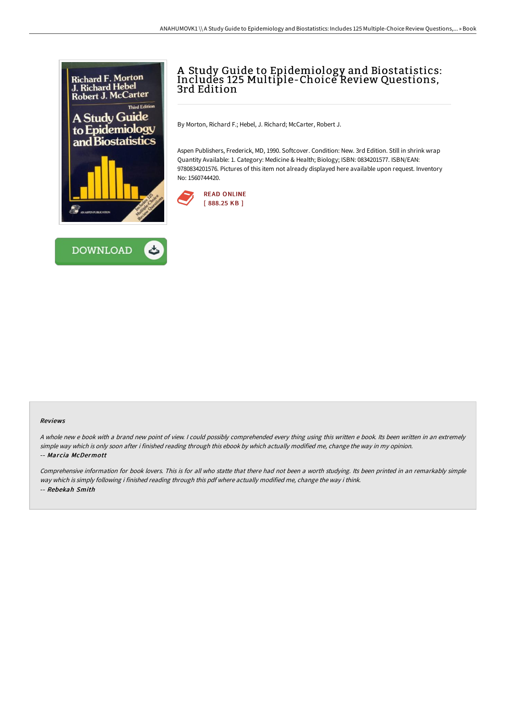



# A Study Guide to Epidemiology and Biostatistics: Includes 125 Multiple-Choice Review Questions, 3rd Edition

By Morton, Richard F.; Hebel, J. Richard; McCarter, Robert J.

Aspen Publishers, Frederick, MD, 1990. Softcover. Condition: New. 3rd Edition. Still in shrink wrap Quantity Available: 1. Category: Medicine & Health; Biology; ISBN: 0834201577. ISBN/EAN: 9780834201576. Pictures of this item not already displayed here available upon request. Inventory No: 1560744420.



#### Reviews

<sup>A</sup> whole new <sup>e</sup> book with <sup>a</sup> brand new point of view. <sup>I</sup> could possibly comprehended every thing using this written <sup>e</sup> book. Its been written in an extremely simple way which is only soon after i finished reading through this ebook by which actually modified me, change the way in my opinion. -- Marcia McDermott

Comprehensive information for book lovers. This is for all who statte that there had not been <sup>a</sup> worth studying. Its been printed in an remarkably simple way which is simply following i finished reading through this pdf where actually modified me, change the way i think. -- Rebekah Smith